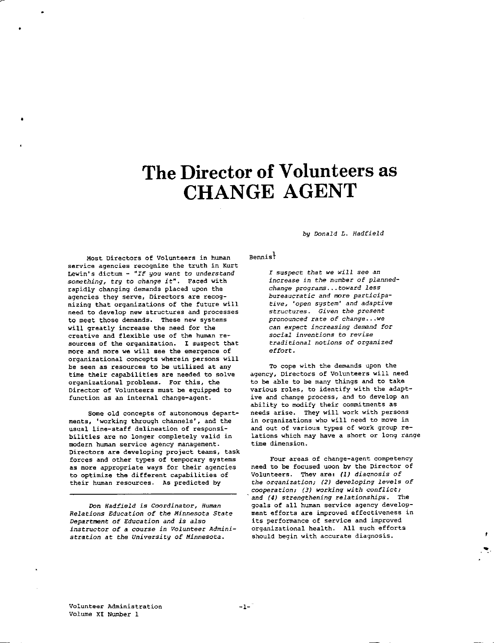# The Director of Volunteers as CHANGE AGENT

Most Directors of Volunteers in human service agencies recognize the truth in Kurt Lewin' s dictum - *"If you want to understand*  something, try to change it". Faced with rapidly changing demands placed upon the agencies they serve, Directors are recognizing that organizations of the future will need to develop new structures and processes to meet those demands. These new systems will greatly increase the need for the creative and flexible use of the human resources of the organization. I suspect that more and more we will see the emergence of organizational concepts wherein persons will be seen as resources to be utilized at any time their capabilities are needed to solve organizational problems. For this, the Director of Volunteers must be equipped *to*  function as an internal change-agent.

•

Some old concepts of autonomous departments, 'working through channels', and the usual line-staff delineation of responsibilities are no longer completely valid in modern human service agency management. Directors are developing project teams, task forces and other types of temporary systems as more appropriate ways for their agencies *to* optimize the different capabilities of their human resources. As predicted by

Don *Hadfield is Coordinator, Human Relations Education oE the Minnesota State Department of Education and* is *also instructor oE a course in Volunteer Administration* at *the University of Minnesota.* 

*by Donald L. Hadfield* 

### $B$ ennis $\frac{1}{2}$

*I* suspect *that we will* see *an increase in the number oE plannedchange programs .•. toward less bureaucratic and* more *participative, 'open system' and adaptive structures. Given the present pronounced rate of change ... we can expect increasing demand for social inventions to revise traditional notions of organized effort.* 

To cope with the demands upon the agency, Directors of Volunteers will need to be able to be many things and to take various roles, to identify with the adaptive and change process, and to develop an ability to modify their commitments as needs arise. They will work with persons in organizations who will need to move in and out of various types of work group relations which may have a short or long range time dimension.

Four areas of change-agent competency need to be focused upon by the Director of Volunteers. They are: *(l) diaqnosis* of *the orqanization; (2) developing levels* of *cooperation; (3) working with conflict; and (4) strengthening relationships.* The goals of all human service agency development efforts are improved effectiveness in its performance of service and improved organizational health. All such efforts should begin with accurate diagnosis.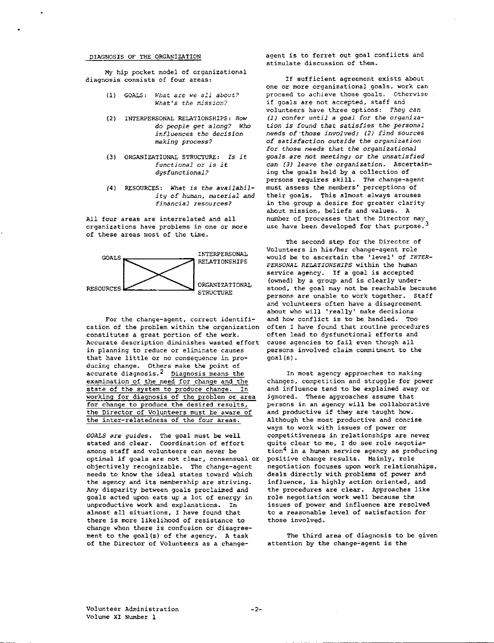# DIAGNOSIS OF THE ORGANIZATION

My hip pocket model of organizational diagnosis consists of four areas:

- (1) GOALS: *h'hat are we all about? k'hat* 's *the mission?*
- (2) INTERPERSONAL RELATIONSHIPS: How *do people get along? Who influences the decision making process?*
- (3) ORGANIZATIONAL STRUCTURE: *Is it functional* or *is it dysfunctional?*
- (4) RESOURCES: *What* is *the availability of human, material and financial* resources?

All four areas are interrelated and all organizations have problems in one or more of these areas most of the time.



For the change-agent, correct identification of the problem within the organization constitutes a great portion of the work. Accurate description diminishes wasted effort in planning to reduce or eliminate causes that have little or no consequence in producing change. Others make the point of accurate diagnosis.2 Diagnosis means the examination of the need for change and the state of the system to produce change. In working for diagnosis of the problem or area for change to produce the desired results, the Director of Volunteers must be aware of the inter-relatedness of the four areas.

GOALS are guides. The goal must be well stated and clear. Coordination of effor among staff and volunteers can never be optimal if goals are not clear, consensual or objectively recognizable. The change-agent needs to know the ideal states toward which the agency and its membership are striving. Any disparity between goals proclaimed and goals acted upon eats up a lot of energy in unproductive work and explanations. In almost all situations, I have found that there is more likelihood of resistance to change when there is confusion or disagreement to the goal(s) of the agency. A task of the Director of Volunteers as a changeagent is to ferret out goal conflicts and stimulate discussion of them.

If sufficient agreement exists about one or more organizational goals, work can proceed to achieve those goals. Otherwise if goals are not accepted, staff and volunteers have three options: *They can (1) confer until* a *goal for the organization is found that satisfies the personal needs of ·those involved; (2) find* sources *of satisfaction outside the organization for those needs that the organizational goals* are *not meeting;* or *the unsatisfied can (3) leave the organization.* Ascertaining the goals held by a collection of persons requires skill. The change-agent must assess the members' perceptions of their goals. This almost always arouses in the group a desire for greater clarity about mission, beliefs and values. A number of processes that the Director may use have been developed for that purpose.<sup>3</sup>

The second step for the Director of Volunteers in his/her change-agent role would be to ascertain the 'level' of *INTER-PERSONAL RELATIONSHIPS* within the human service agency. If a goal is accepted (owned) by a group and is clearly understood, the goal may not be reachable because persons are unable to work together. Staff -<br>and volunteers often have a disagreement about who will 'really' make decisions and how conflict is to be handled. Too often I have found that routine procedures often lead to dysfunctional efforts and cause agencies to fail even though all persons involved claim commitment to the goal (s).

In most agency approaches to making changes, competition and struggle for power and influence tend to be explained away or ignored. These approaches assume that persons in an agency will be collaborative and productive if they are taught how. Although the most productive and concise ways to work with issues of power or competitiveness in relationships are never quite clear to me, I do see role negotiation4 in a human service agency as producing positive change results. Mainly, role negotiation focuses upon work relationships, deals directly with problems of power and influence, is highly action oriented, and the procedures are clear. Approaches lik role negotiation work well because the issues of power and influence are resolved to a reasonable level of satisfaction for those involved.

The third area of diagnosis to be given attention by the change-agent is the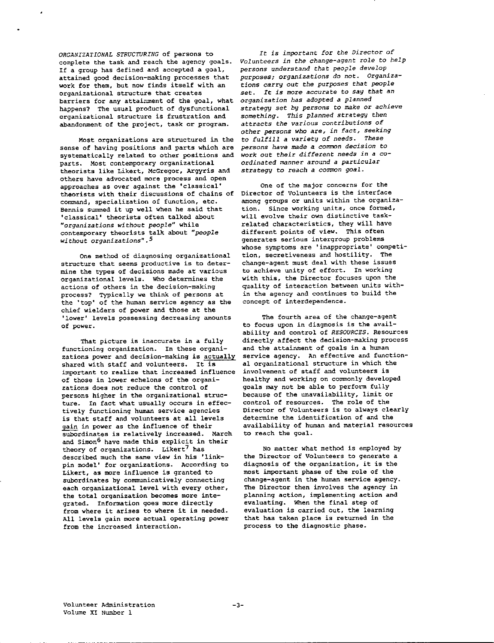*ORGANIZATIONAL STRUCTURING* of persons to complete the task and reach the agency goals. If a group has defined and accepted a goal, attained good decision-making processes that work for them, but now finds itself with an organizational structure that creates barriers for any attainment of the goal, what happens? The usual product of dysfunctional organizational structure is frustration and abandonment of the project, task or program.

Most organizations are structured in the sense of having positions and parts which are systematically related to other positions and parts. Most contemporary organizational theorists like Likert, McGregor, Argyris and others have advocated more process and open approaches as over against the 'classical' theorists with their discussions of chains of command, specialization of function, etc. Bennis summed it up well when he said that 'classical' theorists often talked about *"organizations without people"* while contemporary theorists talk about "*peopl without organizations". 5* 

One method of diagnosing organizational structure that seems productive is to determine the types of decisions made at various organizational levels. Who determines the actions of others in the decision-making process? Typically we think of persons at the 'top' of the human service agency as the chief wielders of power and those at the 'lower' levels possessing decreasing amounts of power.

That picture is inaccurate in a fully functioning organization. In these organizations power and decision-making is actually shared with staff and volunteers. It is important to realize that increased influence of those in lower echelons of the organizations does not reduce the control of persons higher in the organizational structure. In fact what usually occurs in effectively functioning human service agencies is that staff and volunteers at all levels gain in power as the influence of their subordinates is relatively increased. March and Simon<sup>6</sup> have made this explicit in their theory of organizations. Likert<sup>7</sup> has described much the same view in his 'linkpin model' for organizations. According to Likert, as more influence is granted to subordinates by communicatively connecting each organizational level with every other, the total organization becomes more integrated. Information goes more directly from where it arises to where it is needed. All levels gain more actual operating power from the increased interaction.

*It is important for the Director of Volunteers in the change-agent role to help persons understand that people develop purposes; organizations do not. Organizations carry* out *the* purposes that *people set. It is more accurate* to say *that an organization has adopted a planned strategy set by* persons to *make* or *achieve something. This planned strategy then*  attracts *the various contributions of other persons who* are, *in fact, seeking to fulfill a variety of needs. These*  persons *have made a* comroon *decision* to *work out their different needs in* a co*ordinated manner around a particular strategy* to *reach* a common *goal.* 

One of the major concerns for the Director of Volunteers is the interface among groups or units within the organization. Since working units, once formed, will evolve their own distinctive taskrelated characteristics, they will have different points of view. This often generates serious intergroup problems whose symptoms are 'inappropriate' competition, secretiveness and hostility. The change-agent must deal with these issues to achieve unity of effort. In working with this, the Director focuses upon the quality of interaction between units within the agency and continues to build the concept of interdependence.

The fourth area of the change-agent to focus upon in diagnosis is the availability and control of *RESOURCES.* Resources directly affect the decision-making process and the attainment of goals in a human service agency. An effective and functional organizational structure in which the involvement of staff and volunteers is healthy and working on commonly developed goals may not be able to perform fully because of the unavailability, limit or control of resources. The role of the Director of Volunteers is to always clearly determine the identification of and the availability of human and material resources to reach the goal.

No matter what method is employed by the Director of Volunteers to generate a diagnosis of the organization, it is the most important phase of the role of the change-agent in the human service agency. The Director then involves the agency in planning action, implementing action and evaluating. When the final step of evaluation is carried out, the learning that has taken place is returned in the process to the diagnostic phase.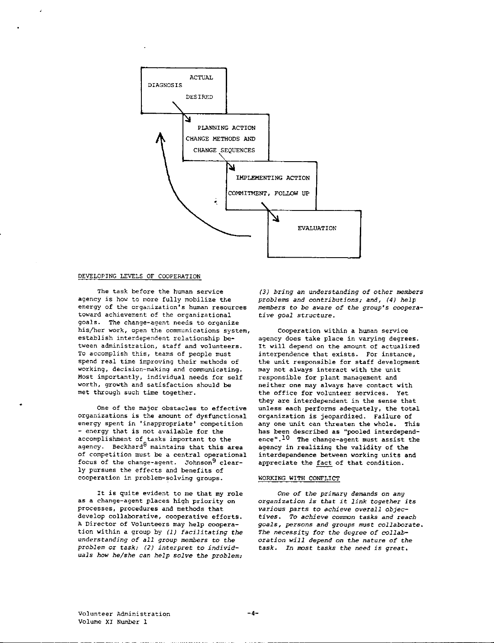

#### DEVELOPING LEVELS OF COOPERATION

The task before the human service agency is how to more fully mobilize the energy of the organization's human resources toward achievement of the organizational goals. The change-agent needs to organize his/her work, open the communications system, establish interdependent relationship between administration, staff and volunteers. To accomplish this, teams of people must spend real time improving their methods of working, decision-making and communicating. Most importantly, individual needs for self worth, growth and satisfaction should be met through such time together.

One of the major obstacles to effective organizations is the amount of dysfunctional energy spent in 'inappropriate' competition - energy that is not available for the accomplishment of tasks important to the agency. Beckhard<sup>8</sup> maintains that this area of competition must be a central operational focus of the change-agent. Johnson<sup>9</sup> clearly pursues the effects and benefits of cooperation in problem-solving groups.

It is quite evident to me that my role as a change-agent places high priority on processes, procedures and methods that develop collaborative, cooperative efforts. A Director of Volunteers may help cooperation within a group by *(1) facilitating the understanding of all group members* to *the problem* or *task; (2) interpret to individuals how he/she can help solve the problem;* 

*(3) bring an understanding of other members problems and contributions; and, (4) help members to be aware of the group's* coopera*tive goal structure.* 

Cooperation within a human service agency does take place in varying degrees. It will depend on the amount of actualized interpendence that exists. For instance, the unit responsible for staff development may not always interact with the unit responsible for plant management and neither one may always have contact with the office for volunteer services. Yet they are interdependent in the sense that unless each performs adequately, the total organization is jeopardized. Failure of any one unit can threaten the whole. This has been described as "pooled interdependence".10 The change-agent must assist the agency in realizing the validity of the interdependence between working units and appreciate the fact of that condition.

#### WORKING WITH CONFLICT

*One of the primary demands on any organization is that it link together its various* parts *to achieve overall objec* $tives.$  To achieve common tasks and reach *goals, persons and groups must collaborate. The necessity for the degree of collaboration will depend on the* nature *of the task. In most tasks the need is great.*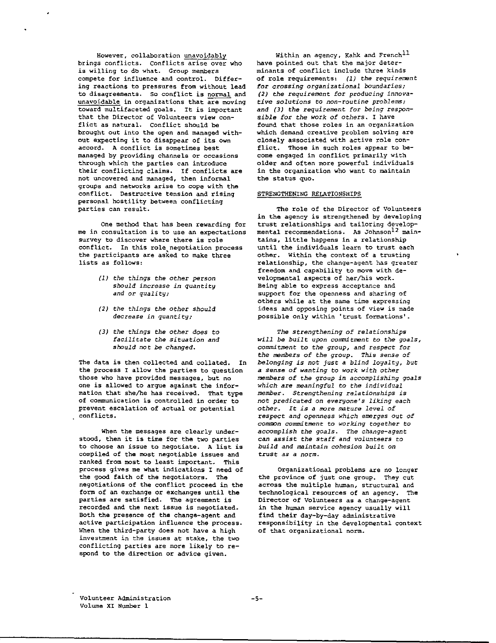However, collaboration unavoidably brings conflicts. conflicts arise over who is willing to db what. Group members compete for influence and control. Differing reactions to pressures from without lead to disagreements. So conflict is normal and unavoidable in organizations that are moving toward multifaceted goals. It is important that the Director of Volunteers view conflict as natural. conflict should be brought out into the open and managed without expecting it to disappear of its own accord. A conflict is sometimes best managed by providing channels or occasions through which the parties can introduce their conflicting claims. If conflicts are not uncovered and managed, then informal groups and networks arise to cope with the conflict. Destructive tension and rising personal hostility between conflicting parties can result.

One method that has been rewarding for me in consultation is to use an expectations survey to discover where there is role conflict. In this role negotiation process the participants are asked to make three lists as follows:

- *(1) the things the other* person *should increase in quantity and* or *quality;*
- *(2) the things the other should decrease in quantity;*
- *(3) the things the other does to facilitate the situation and should not be changed.*

The data is then collected and collated. In the process I allow the parties to question those who have provided messages, but no one is allowed to argue against the information that she/he has received. That type of communication is controlled in order to prevent escalation of actual or potential conflicts.

When the messages are clearly understood, then it is time for the two parties to choose an issue to negotiate. A list is compiled of the most negotiable issues and ranked from most to least important. This process gives me what indications I need of the good faith of the negotiators. The negotiations of the conflict proceed in the form of an exchange or exchanges until the parties are satisfied. The agreement is recorded and the next issue is negotiated. Both the presence of the change-agent and active participation influence the process. When the third-party does not have a high investment in the issues at stake, the two conflicting parties are more likely to respond to the direction or advice given.

Within an agency, Kahk and French<sup>11</sup> have pointed out that the major determinants of conflict include three kinds of role requirements: *(1) the requirement*  for *crossing organizational boundaries; (2) the requirement* for *producing innovative solutions to non-routine problems; and (3) the requirement* for *being responsible* for *the work of others.* I have found that those roles in an organization which demand creative problem solving are closely associated with active role conflict. Those in such roles appear to become engaged in conflict primarily with older and often more powerful individuals in the organization who want to maintain the status quo.

#### STRENGTHENING RELATIONSHIPS

The role of the Director of Volunteers in the agency is strengthened by developing trust relationships and tailoring developmental recommendations. As Johnson<sup>12</sup> maintains, little happens in a relationship until the individuals learn to trust each other. Within the context of a trusting relationship, the change-agent has greater freedom and capability to move with developmental aspects of her/his work. Being able to express acceptance and support for the openness and sharing of others while at the same time expressing ideas and opposing points of view is made possible only within 'trust formations'.

*The strengthening of relationships will be built upon commitment to the goals, commitment* to *the group, and respect for the members of the group. This sense of belonging is not just* a *blind loyalty, but*  a *sense of wanting to work with other members of the group in accomplishing goals which are meaningful to the individual member. Strengthening relationships is not predicated on everyone's liking each other.* It *is* a *more* mature *level of respect and openness which emerges* out *of*  common *commitment to working together* to *accomplish the goals. The change-agent*  can assist *the staff and volunteers to build and maintain cohesion built on trust as a norm.* 

Organizational problems are no longer the province of just one group. They cut across the multiple human, structural and technological resources of an agency. The Director of Volunteers as a change-agent in the human service agency usually will find their day-by-day administrative responsibility *in* the developmental context of that organizational norm.

Volunteer Administration Volume XI Number 1